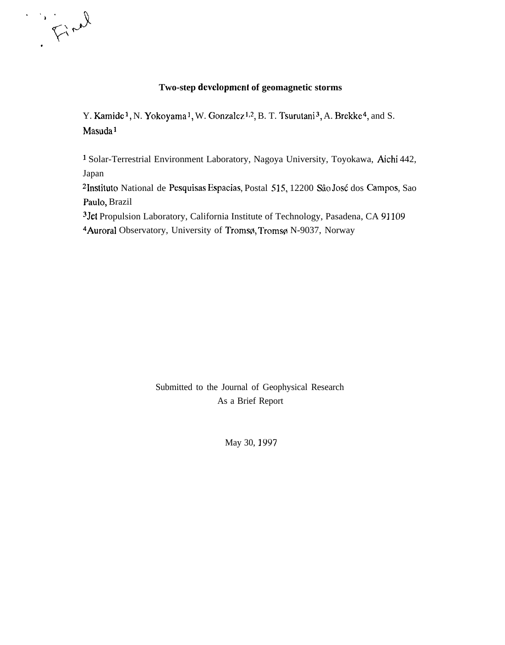# **Two-step dcvclopmcnt of geomagnetic storms**

Y. Kamide<sup>1</sup>, N. Yokoyama<sup>1</sup>, W. Gonzalez<sup>1,2</sup>, B. T. Tsurutani<sup>3</sup>, A. Brekke<sup>4</sup>, and S. Masuda<sup>1</sup>

, **f"\ 'W'J \**

1 Solar-Terrestrial Environment Laboratory, Nagoya University, Toyokawa, Aichi 442, Japan

<sup>2</sup>Instituto National de Pesquisas Espacias, Postal 515, 12200 São José dos Campos, Sao Paulo, Brazil

3Jet Propulsion Laboratory, California Institute of Technology, Pasadena, CA 91109

4 Auroral Observatory, University of Tromsø, Tromsø N-9037, Norway

Submitted to the Journal of Geophysical Research As a Brief Report

May 30, 1997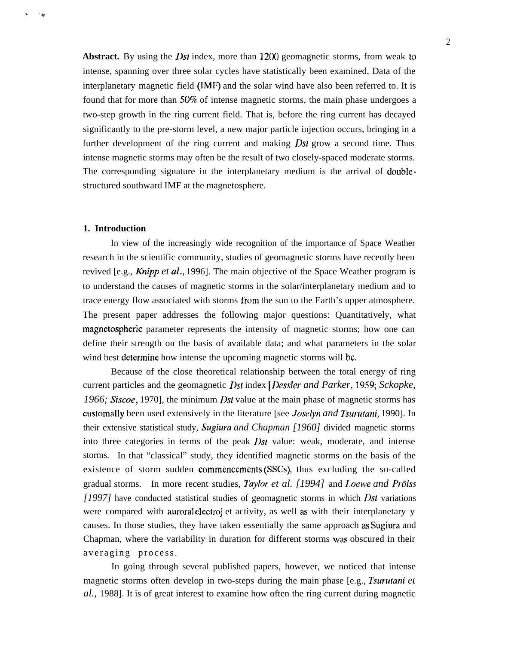**Abstract.** By using the Dst index, more than 1200 geomagnetic storms, from weak to intense, spanning over three solar cycles have statistically been examined, Data of the interplanetary magnetic field (IMF) and the solar wind have also been referred to. It is found that for more than 50% of intense magnetic storms, the main phase undergoes a two-step growth in the ring current field. That is, before the ring current has decayed significantly to the pre-storm level, a new major particle injection occurs, bringing in a further development of the ring current and making Dst grow a second time. Thus intense magnetic storms may often be the result of two closely-spaced moderate storms. The corresponding signature in the interplanetary medium is the arrival of doublestructured southward IMF at the magnetosphere.

## **1. Introduction**

.  $^{\prime}$ 

> In view of the increasingly wide recognition of the importance of Space Weather research in the scientific community, studies of geomagnetic storms have recently been revived [e.g., *Khipp et al.,* 1996]. The main objective of the Space Weather program is to understand the causes of magnetic storms in the solar/interplanetary medium and to trace energy flow associated with storms from the sun to the Earth's upper atmosphere. The present paper addresses the following major questions: Quantitatively, what magnetospheric parameter represents the intensity of magnetic storms; how one can define their strength on the basis of available data; and what parameters in the solar wind best determine how intense the upcoming magnetic storms will be.

> Because of the close theoretical relationship between the total energy of ring current particles and the geomagnetic Dst index [Dessler *and Parker, 1959; Sckopke,* 1966; Siscoe, 1970], the minimum *Dst* value at the main phase of magnetic storms has customally been used extensively in the literature [see *Joselyn and Nuru(ani,* 1990]. In their extensive statistical study, *Sugiura and Chapman [1960]* divided magnetic storms into three categories in terms of the peak  $Dist$  value: weak, moderate, and intense storms. In that "classical" study, they identified magnetic storms on the basis of the existence of storm sudden commencements (SSCs), thus excluding the so-called gradual storms. In more recent studies, *lizylor et al. [1994]* and Loewe *and I%Yss [1997]* have conducted statistical studies of geomagnetic storms in which *Dst* variations were compared with auroral electroj et activity, as well as with their interplanetary y causes. In those studies, they have taken essentially the same approach as Sugiura and Chapman, where the variability in duration for different storms was obscured in their averaging process.

> In going through several published papers, however, we noticed that intense magnetic storms often develop in two-steps during the main phase [e.g., *Ikurutani et al.,* 1988]. It is of great interest to examine how often the ring current during magnetic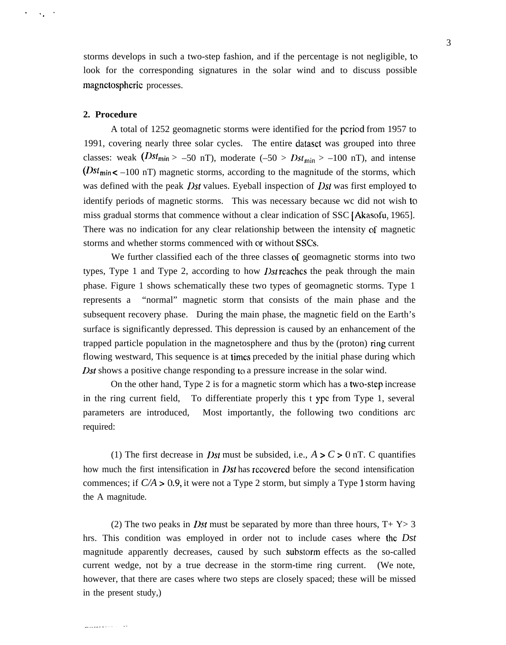storms develops in such a two-step fashion, and if the percentage is not negligible, to look for the corresponding signatures in the solar wind and to discuss possible magnetosphcric processes.

### **2. Procedure**

 $\sim 840\%$ 

A total of 1252 geomagnetic storms were identified for the period from 1957 to 1991, covering nearly three solar cycles. The entire datasct was grouped into three classes: weak ( $Dst_{\text{min}} > -50$  nT), moderate ( $-50 > Dst_{\text{min}} > -100$  nT), and intense ( $Dst_{\text{min}}$  < –100 nT) magnetic storms, according to the magnitude of the storms, which was defined with the peak *Dst* values. Eyeball inspection of *Dsf* was first employed to identify periods of magnetic storms. This was necessary because wc did not wish to miss gradual storms that commence without a clear indication of SSC [Akasofu, 1965]. There was no indication for any clear relationship between the intensity of magnetic storms and whether storms commenced with or without SSCS.

We further classified each of the three classes of geomagnetic storms into two types, Type 1 and Type 2, according to how *Dst* reaches the peak through the main phase. Figure 1 shows schematically these two types of geomagnetic storms. Type 1 represents a "normal" magnetic storm that consists of the main phase and the subsequent recovery phase. During the main phase, the magnetic field on the Earth's surface is significantly depressed. This depression is caused by an enhancement of the trapped particle population in the magnetosphere and thus by the (proton) ring current flowing westward, This sequence is at times preceded by the initial phase during which Dst shows a positive change responding to a pressure increase in the solar wind.

On the other hand, Type 2 is for a magnetic storm which has a two-siep increase in the ring current field, To differentiate properly this t ypc from Type 1, several parameters are introduced, Most importantly, the following two conditions arc required:

(1) The first decrease in *Dst* must be subsided, i.e.,  $A > C > 0$  nT. C quantifies how much the first intensification in *Dst* has recovered before the second intensification commences; if *C/A >0.9,* it were not a Type 2 storm, but simply a Type 1 storm having the A magnitude.

(2) The two peaks in *Dst* must be separated by more than three hours,  $T + Y > 3$ hrs. This condition was employed in order not to include cases where the *Dst* magnitude apparently decreases, caused by such substorm effects as the so-called current wedge, not by a true decrease in the storm-time ring current. (We note, however, that there are cases where two steps are closely spaced; these will be missed in the present study,)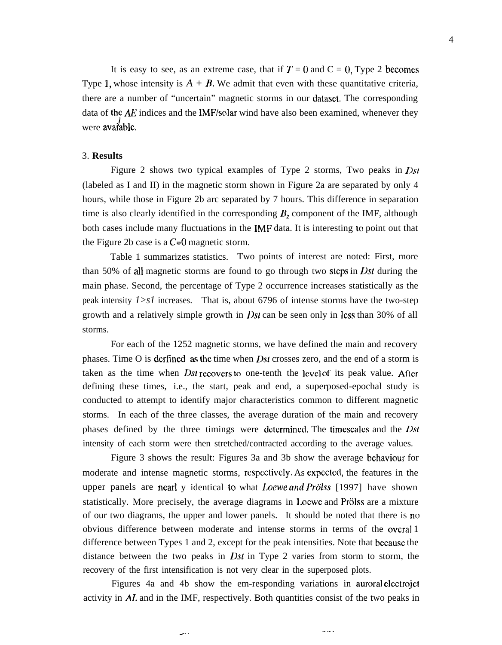It is easy to see, as an extreme case, that if  $T = 0$  and  $C = 0$ , Type 2 becomes Type 1, whose intensity is  $A + B$ . We admit that even with these quantitative criteria, there are a number of "uncertain" magnetic storms in our datasct. The corresponding data of the  $AE$  indices and the IMF/solar wind have also been examined, whenever they were avaiable.

## 3. **Results**

Figure 2 shows two typical examples of Type 2 storms, Two peaks in  $Dst$ (labeled as I and II) in the magnetic storm shown in Figure 2a are separated by only 4 hours, while those in Figure 2b arc separated by 7 hours. This difference in separation time is also clearly identified in the corresponding  $B<sub>z</sub>$  component of the IMF, although both cases include many fluctuations in the IMF data. It is interesting to point out that the Figure 2b case is a  $C=0$  magnetic storm.

Table 1 summarizes statistics. Two points of interest are noted: First, more than 50% of all magnetic storms are found to go through two steps in Dst during the main phase. Second, the percentage of Type 2 occurrence increases statistically as the peak intensity *1>s1* increases. That is, about 6796 of intense storms have the two-step growth and a relatively simple growth in  $Dst$  can be seen only in less than 30% of all storms.

For each of the 1252 magnetic storms, we have defined the main and recovery phases. Time O is derfined as the time when Dst crosses zero, and the end of a storm is taken as the time when Dst recovers to one-tenth the level of its peak value. After defining these times, i.e., the start, peak and end, a superposed-epochal study is conducted to attempt to identify major characteristics common to different magnetic storms. In each of the three classes, the average duration of the main and recovery phases defined by the three timings were dctcrmincd. The timescales and the Dst intensity of each storm were then stretched/contracted according to the average values.

Figure 3 shows the result: Figures 3a and 3b show the average behaviour for moderate and intense magnetic storms, rcspcctivcly. As expeeted, the features in the upper panels are nearl y identical to what *Loewe and Prölss* [1997] have shown statistically. More precisely, the average diagrams in Loewe and Prolss are a mixture of our two diagrams, the upper and lower panels. It should be noted that there is no obvious difference between moderate and intense storms in terms of the overal 1 difference between Types 1 and 2, except for the peak intensities. Note that bccausc the distance between the two peaks in *Dst* in Type 2 varies from storm to storm, the recovery of the first intensification is not very clear in the superposed plots.

Figures 4a and 4b show the em-responding variations in auroral clcctrojct activity in AL and in the IMF, respectively. Both quantities consist of the two peaks in

\_.-. \_..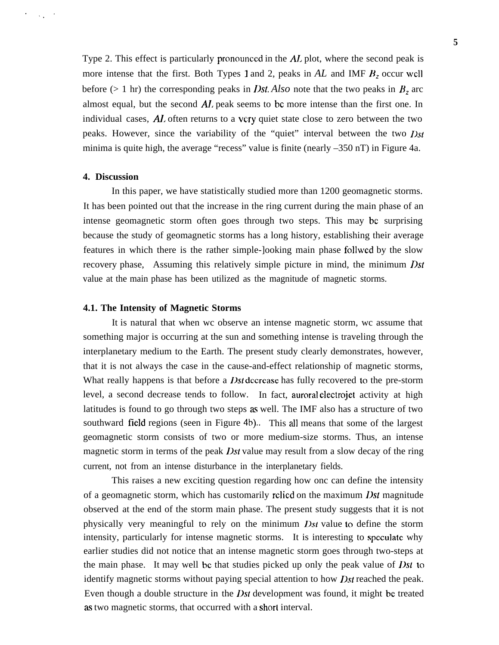Type 2. This effect is particularly pronounced in the  $AL$  plot, where the second peak is more intense that the first. Both Types 1 and 2, peaks in  $AL$  and IMF  $B<sub>z</sub>$  occur well before ( $> 1$  hr) the corresponding peaks in *Dst. Also* note that the two peaks in  $B<sub>z</sub>$  arc almost equal, but the second *Al,* peak seems to bc more intense than the first one. In individual cases,  $AL$  often returns to a very quiet state close to zero between the two peaks. However, since the variability of the "quiet" interval between the two  $Dst$ minima is quite high, the average "recess" value is finite (nearly –350 nT) in Figure 4a.

#### **4. Discussion**

 $\sim 10^{-10}$  M  $_{\odot}$ 

In this paper, we have statistically studied more than 1200 geomagnetic storms. It has been pointed out that the increase in the ring current during the main phase of an intense geomagnetic storm often goes through two steps. This may bc surprising because the study of geomagnetic storms has a long history, establishing their average features in which there is the rather simple-]ooking main phase follwed by the slow recovery phase, Assuming this relatively simple picture in mind, the minimum *I)st* value at the main phase has been utilized as the magnitude of magnetic storms.

#### **4.1. The Intensity of Magnetic Storms**

It is natural that when wc observe an intense magnetic storm, wc assume that something major is occurring at the sun and something intense is traveling through the interplanetary medium to the Earth. The present study clearly demonstrates, however, that it is not always the case in the cause-and-effect relationship of magnetic storms, What really happens is that before a *Dst* dccrease has fully recovered to the pre-storm level, a second decrease tends to follow. In fact, auroral clectrojet activity at high latitudes is found to go through two steps as well. The IMF also has a structure of two southward field regions (seen in Figure 4b).. This all means that some of the largest geomagnetic storm consists of two or more medium-size storms. Thus, an intense magnetic storm in terms of the peak *Dst* value may result from a slow decay of the ring current, not from an intense disturbance in the interplanetary fields.

This raises a new exciting question regarding how onc can define the intensity of a geomagnetic storm, which has customarily relied on the maximum Dst magnitude observed at the end of the storm main phase. The present study suggests that it is not physically very meaningful to rely on the minimum Dst value to define the storm intensity, particularly for intense magnetic storms. It is interesting to spcculatc why earlier studies did not notice that an intense magnetic storm goes through two-steps at the main phase. It may well bc that studies picked up only the peak value of *Dst* to identify magnetic storms without paying special attention to how  $Dst$  reached the peak. Even though a double structure in the *Dst* development was found, it might be treated as two magnetic storms, that occurred with a short interval.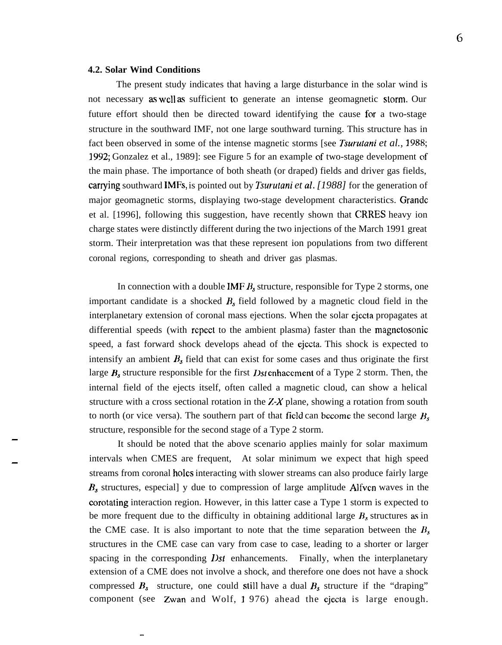#### **4.2. Solar Wind Conditions**

—

—

—

The present study indicates that having a large disturbance in the solar wind is not necessary as WCII as sufficient to generate an intense geomagnetic storm. Our future effort should then be directed toward identifying the cause for a two-stage structure in the southward IMF, not one large southward turning. This structure has in fact been observed in some of the intense magnetic storms [see *Tsurutani et al.,* 1988; 1992; Gonzalez et al., 1989]: see Figure 5 for an example of two-stage development of the main phase. The importance of both sheath (or draped) fields and driver gas fields, carrying southward IMFs, is pointed out by *Tsurutani et al. [1988]* for the generation of major geomagnetic storms, displaying two-stage development characteristics. Grandc et al. [1996], following this suggestion, have recently shown that CRRES heavy ion charge states were distinctly different during the two injections of the March 1991 great storm. Their interpretation was that these represent ion populations from two different coronal regions, corresponding to sheath and driver gas plasmas.

In connection with a double IMF  $B<sub>s</sub>$  structure, responsible for Type 2 storms, one important candidate is a shocked  $B_s$  field followed by a magnetic cloud field in the interplanetary extension of coronal mass ejections. When the solar ejccta propagates at differential speeds (with repect to the ambient plasma) faster than the magnetosonic speed, a fast forward shock develops ahead of the ejccta. This shock is expected to intensify an ambient  $B_s$  field that can exist for some cases and thus originate the first large  $B_s$  structure responsible for the first *Dst* enhacement of a Type 2 storm. Then, the internal field of the ejects itself, often called a magnetic cloud, can show a helical structure with a cross sectional rotation in the  $Z-X$  plane, showing a rotation from south to north (or vice versa). The southern part of that field can become the second large  $B_s$ structure, responsible for the second stage of a Type 2 storm.

It should be noted that the above scenario applies mainly for solar maximum intervals when CMES are frequent, At solar minimum we expect that high speed streams from coronal holes interacting with slower streams can also produce fairly large  $B_s$  structures, especial] y due to compression of large amplitude Alfven waves in the corotating interaction region. However, in this latter case a Type 1 storm is expected to be more frequent due to the difficulty in obtaining additional large  $B_s$  structures as in the CME case. It is also important to note that the time separation between the  $B_s$ structures in the CME case can vary from case to case, leading to a shorter or larger spacing in the corresponding *Dst* enhancements. Finally, when the interplanetary extension of a CME does not involve a shock, and therefore one does not have a shock compressed  $B_s$  structure, one could still have a dual  $B_s$  structure if the "draping" component (see Zwan and Wolf, J 976) ahead the cjecta is large enough.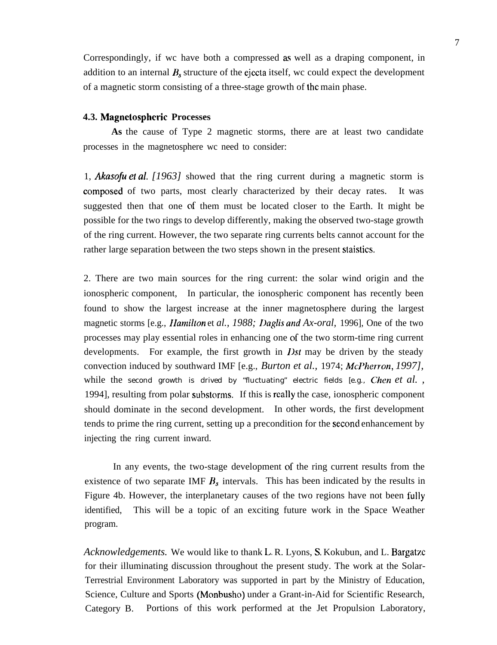Correspondingly, if wc have both a compressed as well as a draping component, in addition to an internal  $B<sub>s</sub>$  structure of the ejecta itself, wc could expect the development of a magnetic storm consisting of a three-stage growth of the main phase.

## **4.3. Magnetospheric Processes**

**As** the cause of Type 2 magnetic storms, there are at least two candidate processes in the magnetosphere wc need to consider:

1, *Akasofu el al, [1963]* showed that the ring current during a magnetic storm is composed of two parts, most clearly characterized by their decay rates. It was suggested then that one of them must be located closer to the Earth. It might be possible for the two rings to develop differently, making the observed two-stage growth of the ring current. However, the two separate ring currents belts cannot account for the rather large separation between the two steps shown in the present staistics.

2. There are two main sources for the ring current: the solar wind origin and the ionospheric component, In particular, the ionospheric component has recently been found to show the largest increase at the inner magnetosphere during the largest magnetic storms [e.g., *Hamilton* et *al., 1988; Daglis and Ax-oral, 1996*], One of the two processes may play essential roles in enhancing one of the two storm-time ring current developments. For example, the first growth in  $Dist$  may be driven by the steady convection induced by southward IMF [e.g., *Burton et al.,* 1974; *McPherron, 1997],* while the second growth is drived by "fluctuating" electric fields [e.g., *Chen et al. ,* 1994], resulting from polar substorms. If this is really the case, ionospheric component should dominate in the second development. In other words, the first development tends to prime the ring current, setting up a precondition for the second enhancement by injecting the ring current inward.

In any events, the two-stage development of the ring current results from the existence of two separate IMF  $B_s$  intervals. This has been indicated by the results in Figure 4b. However, the interplanetary causes of the two regions have not been fully identified, This will be a topic of an exciting future work in the Space Weather program.

*Acknowledgements.* We would like to thank L. R. Lyons, S, Kokubun, and L. Bargatze for their illuminating discussion throughout the present study. The work at the Solar-Terrestrial Environment Laboratory was supported in part by the Ministry of Education, Science, Culture and Sports (Monbusho) under a Grant-in-Aid for Scientific Research, Category B. Portions of this work performed at the Jet Propulsion Laboratory,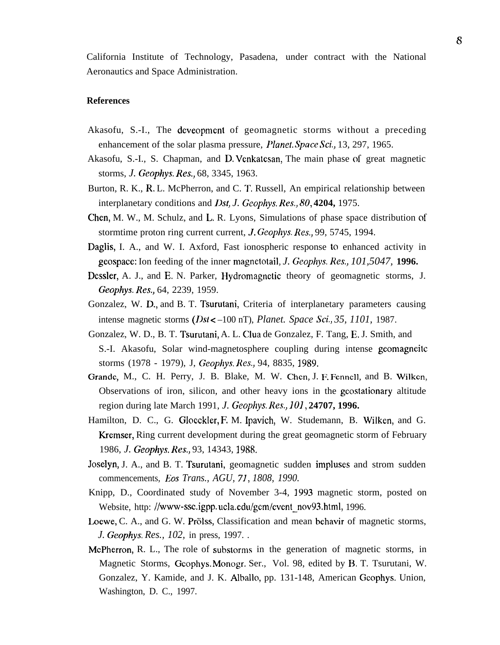California Institute of Technology, Pasadena, under contract with the National Aeronautics and Space Administration.

# **References**

- Akasofu, S.-I., The deveopmcnt of geomagnetic storms without a preceding enhancement of the solar plasma pressure, Planet. Space Sci., 13, 297, 1965.
- Akasofu, S.-I., S. Chapman, and D, Vcnkatcsan, The main phase of great magnetic storms, *J. Geophys. Res.,* 68, 3345, 1963.
- Burton, R. K., R, L. McPherron, and C. T, Russell, An empirical relationship between interplanetary conditions and *Dst, J. Geophys. Res., 80,* 4204, 1975.
- Chen, M. W., M. Schulz, and L. R. Lyons, Simulations of phase space distribution of stormtime proton ring current current, *J. Geophys. Res.*, 99, 5745, 1994.
- Daglis, I. A., and W. I. Axford, Fast ionospheric response to enhanced activity in geospace: Ion feeding of the inner magnetotail, *J. Geophys. Res., 101,5047,* **1996.**
- Dessler, A. J., and E. N. Parker, Hydromagnetic theory of geomagnetic storms, J. *Geophys. Res.,* 64, 2239, 1959.
- Gonzalez, W. D,, and B. T. Tsurutani, Criteria of interplanetary parameters causing intense magnetic storms (Dst e –100 nT), *Planet. Space Sci,, 35, 1101,* 1987.
- Gonzalez, W. D., B. T. Tsurutani, A. L. Clua de Gonzalez, F. Tang, E. J. Smith, and S.-I. Akasofu, Solar wind-magnetosphere coupling during intense geomagneitc storms (1978 - 1979), J, *Geophys. Res,,* 94, 8835, 1989.
- Grande, M., C. H. Perry, J. B. Blake, M. W. Chcn, J. F. Fenncll, and B. Wilkcn, Observations of iron, silicon, and other heavy ions in the gcostationary altitude region during late March 1991, *J. Geophys. Res., 101,* **24707, 1996.**
- Hamilton, D. C., G. Gloeckler, F, M. Ipavich, W. Studemann, B. Wilken, and G. Kremser, Ring current development during the great geomagnetic storm of February 1986, *J. Geophys. Res.,* 93, 14343, 1988.
- Joselyn, J. A., and B. T. Tsurutani, geomagnetic sudden impluses and strom sudden commencements, Eos *Trans., AGU, 71, 1808, 1990.*
- Knipp, D., Coordinated study of November 3-4, 1993 magnetic storm, posted on Website, http: //www-ssc.igpp.ucla.edu/gcm/cvcnt\_nov93.html, 1996.
- Locwe, C. A., and G. W. Pr61ss, Classification and mean behavir of magnetic storms, *J. Geophys. Res., 102,* in press, 1997. .
- McPherron, R. L., The role of substorms in the generation of magnetic storms, in Magnetic Storms, Gcophys. Monogr. Ser., Vol. 98, edited by B. T. Tsurutani, W. Gonzalez, Y. Kamide, and J. K. Alballo, pp. 131-148, American Gcophys. Union, Washington, D. C., 1997.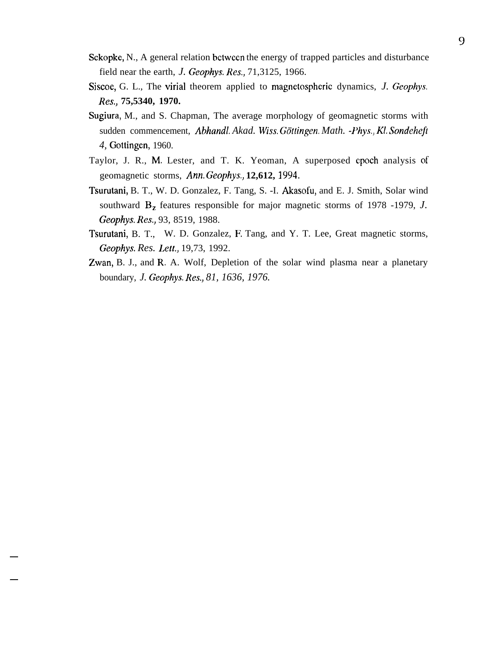- Sckopke, N., A general relation between the energy of trapped particles and disturbance field near the earth, *J. Geophys. Res.,* 71,3125, 1966.
- Siscoe, G. L., The virial theorem applied to magnetosphcric dynamics, *J. Geophys. Res.,* **75,5340, 1970.**
- Sugiura, M., and S. Chapman, The average morphology of geomagnetic storms with sudden commencement, *Abhandl. Akad. Wiss. Gottingen. Math. -Phys., K!. Sondeheft 4,* Gottingen, 1960.
- Taylor, J. R., M. Lester, and T. K. Yeoman, A superposed epoch analysis of geomagnetic storms, *Ann. Geophys.,* **12,612, 1994.**
- Tsurutani, B. T., W. D. Gonzalez, F. Tang, S. -I. Akasofu, and E. J. Smith, Solar wind southward  $B<sub>z</sub>$  features responsible for major magnetic storms of 1978 -1979, *J*. *Geophys. Res.,* 93, 8519, 1988.
- Tsurutani, B. T., W. D. Gonzalez, F, Tang, and Y. T. Lee, Great magnetic storms, *Geophys. Res. I.ett.,* 19,73, 1992.
- Zwan, B. J., and R. A. Wolf, Depletion of the solar wind plasma near a planetary boundary, *J. Geophys. Res., 81, 1636, 1976.*

 $\overline{\phantom{a}}$ 

—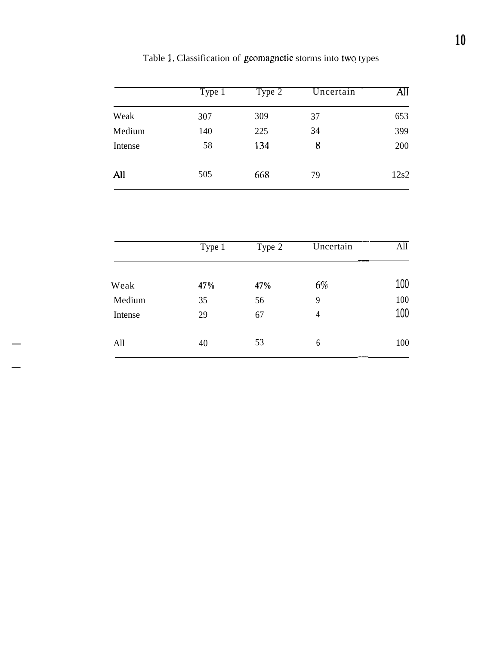|         | Type 1 | Type 2 | Uncertain | All  |
|---------|--------|--------|-----------|------|
| Weak    | 307    | 309    | 37        | 653  |
| Medium  | 140    | 225    | 34        | 399  |
| Intense | 58     | 134    | 8         | 200  |
| All     | 505    | 668    | 79        | 12s2 |

Table 1. Classification of geomagnetic storms into two types

|         | Type 1 | Type 2 | Uncertain      | All |
|---------|--------|--------|----------------|-----|
| Weak    | 47%    | 47%    | 6%             | 100 |
| Medium  | 35     | 56     | 9              | 100 |
| Intense | 29     | 67     | $\overline{4}$ | 100 |
| All     | 40     | 53     | 6              | 100 |

—

—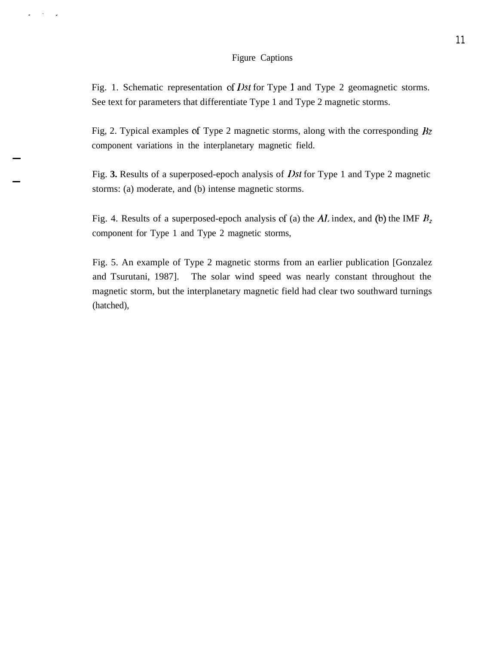#### Figure Captions

. . .

—

—

Fig. 1. Schematic representation of *Dst* for Type 1 and Type 2 geomagnetic storms. See text for parameters that differentiate Type 1 and Type 2 magnetic storms.

Fig, 2. Typical examples of Type 2 magnetic storms, along with the corresponding  $Bz$ component variations in the interplanetary magnetic field.

Fig. **3.** Results of a superposed-epoch analysis of *Dst* for Type 1 and Type 2 magnetic storms: (a) moderate, and (b) intense magnetic storms.

Fig. 4. Results of a superposed-epoch analysis of (a) the  $AL$  index, and (b) the IMF  $B<sub>z</sub>$ component for Type 1 and Type 2 magnetic storms,

Fig. 5. An example of Type 2 magnetic storms from an earlier publication [Gonzalez and Tsurutani, 1987]. The solar wind speed was nearly constant throughout the magnetic storm, but the interplanetary magnetic field had clear two southward turnings (hatched),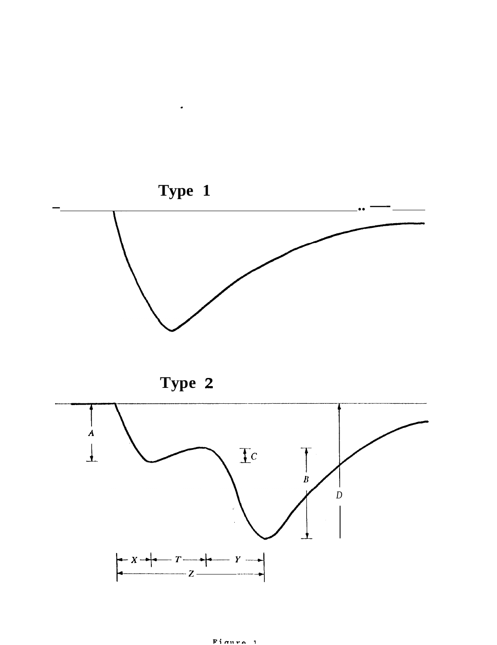

 $\bullet$  .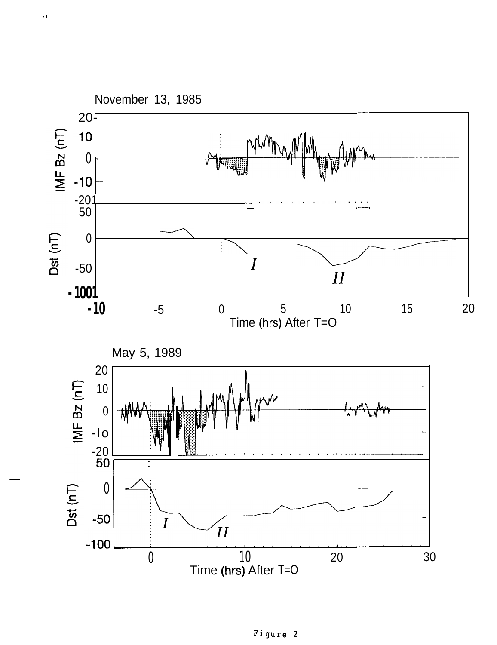

—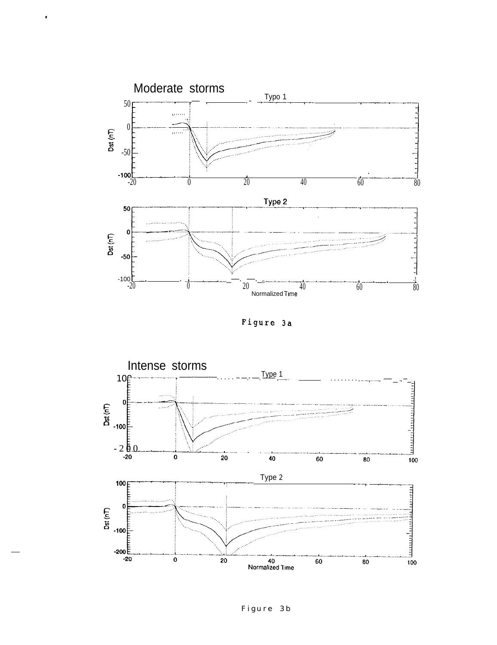

Figure 3a



Figure 3b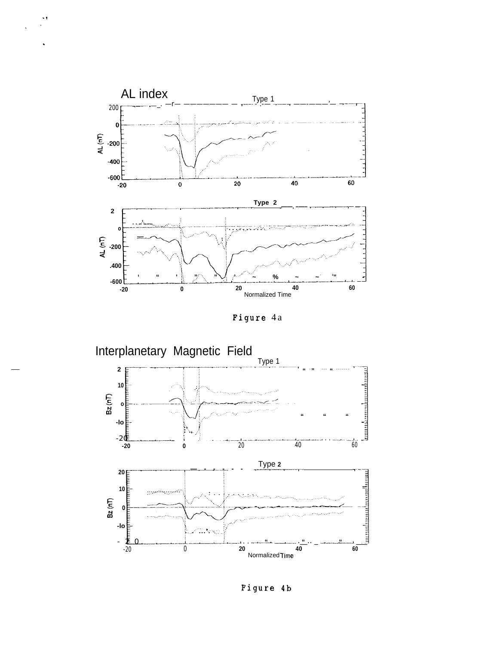

 $\ddot{\phantom{1}}$ 





Figure 4b